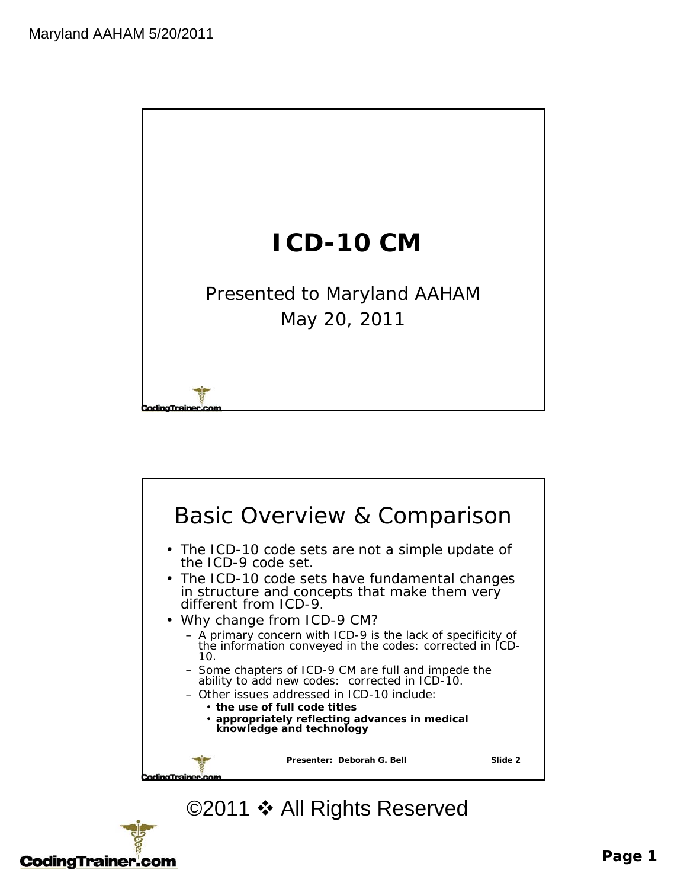



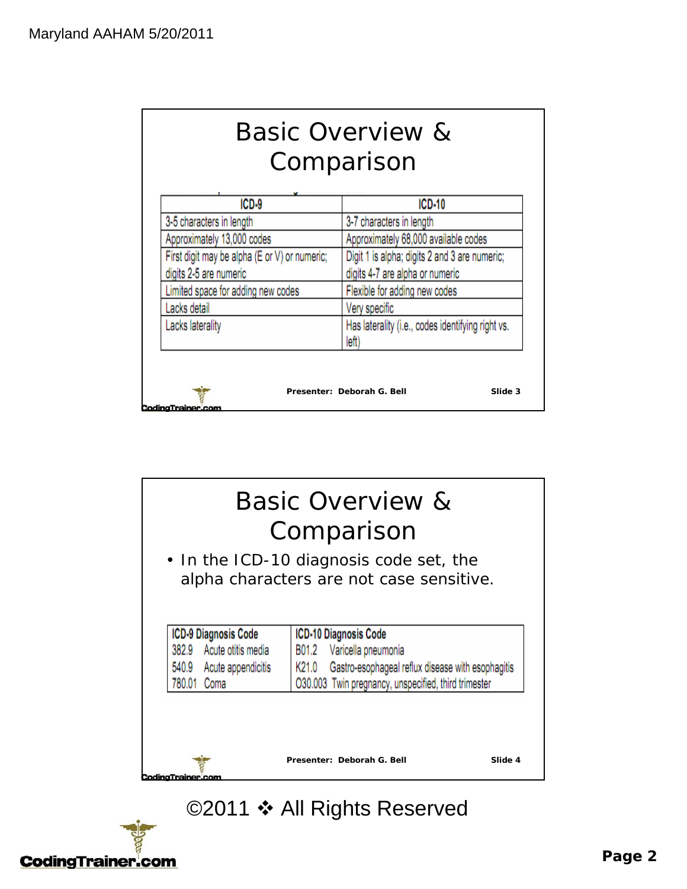| <b>Basic Overview &amp;</b> |  |  |  |
|-----------------------------|--|--|--|
| Comparison                  |  |  |  |

|                                               | ICD-10                                                     |  |
|-----------------------------------------------|------------------------------------------------------------|--|
| 3-5 characters in length                      | 3-7 characters in length                                   |  |
| Approximately 13,000 codes                    | Approximately 68,000 available codes                       |  |
| First digit may be alpha (E or V) or numeric; | Digit 1 is alpha; digits 2 and 3 are numeric;              |  |
| digits 2-5 are numeric                        | digits 4-7 are alpha or numeric                            |  |
| Limited space for adding new codes            | Flexible for adding new codes                              |  |
| Lacks detail                                  | Very specific                                              |  |
| Lacks laterality                              | Has laterality (i.e., codes identifying right vs.<br>left) |  |



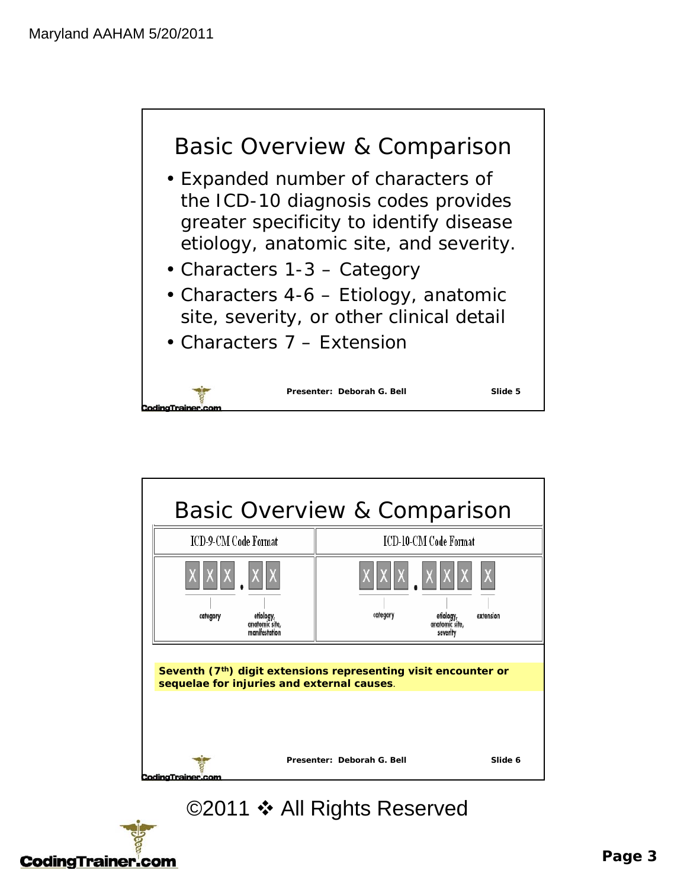



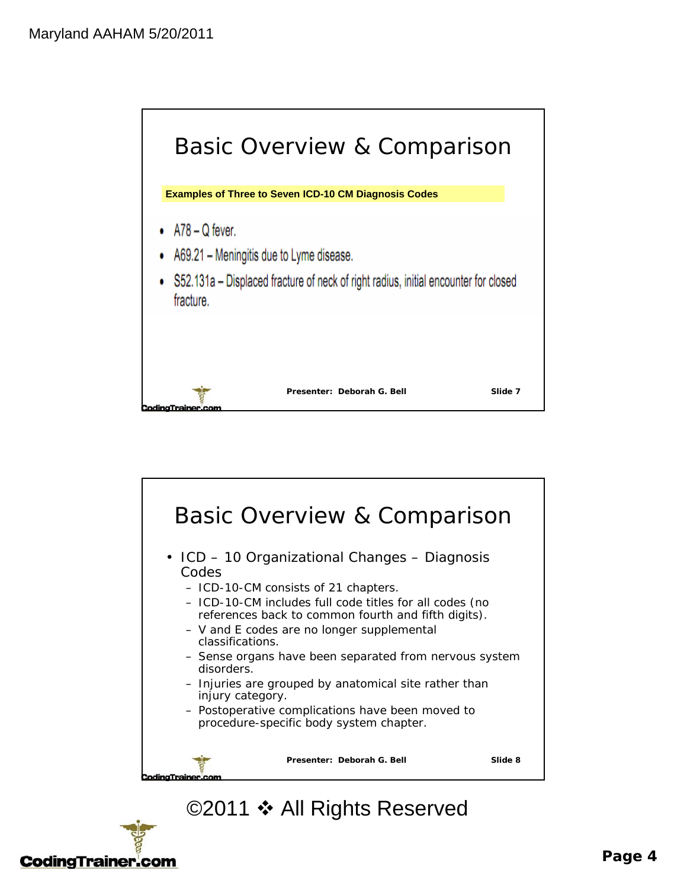



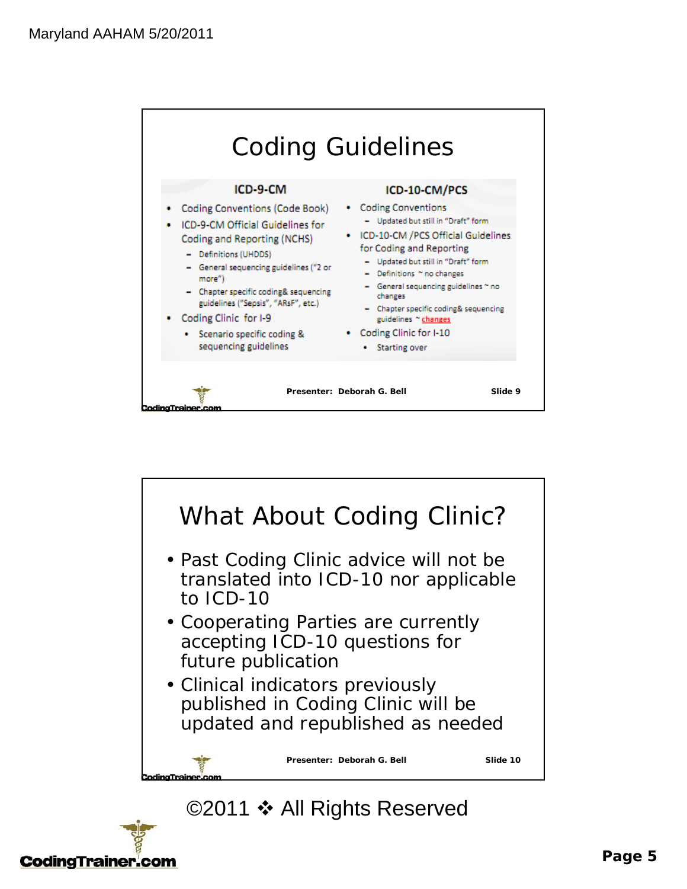



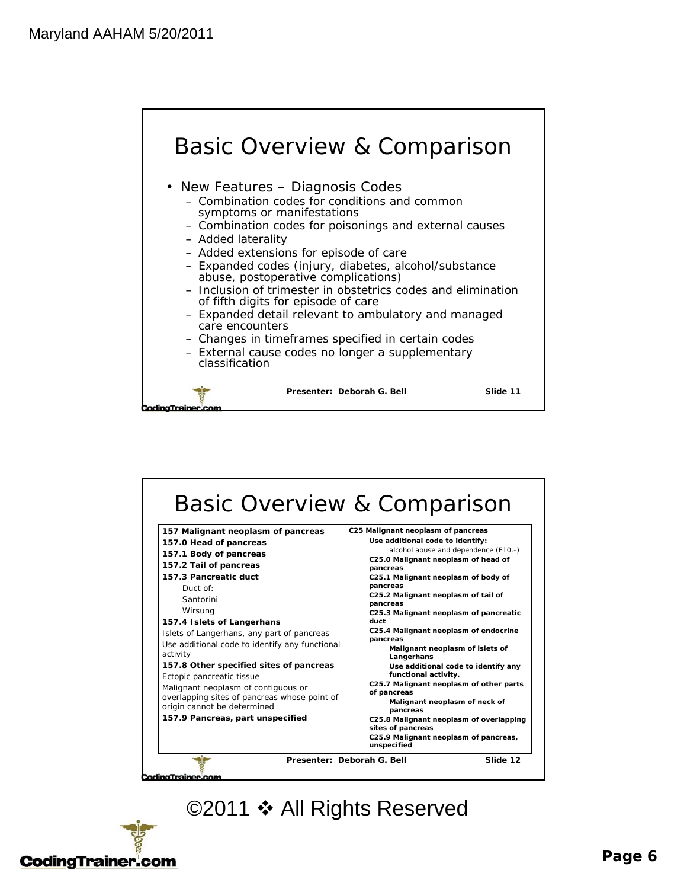



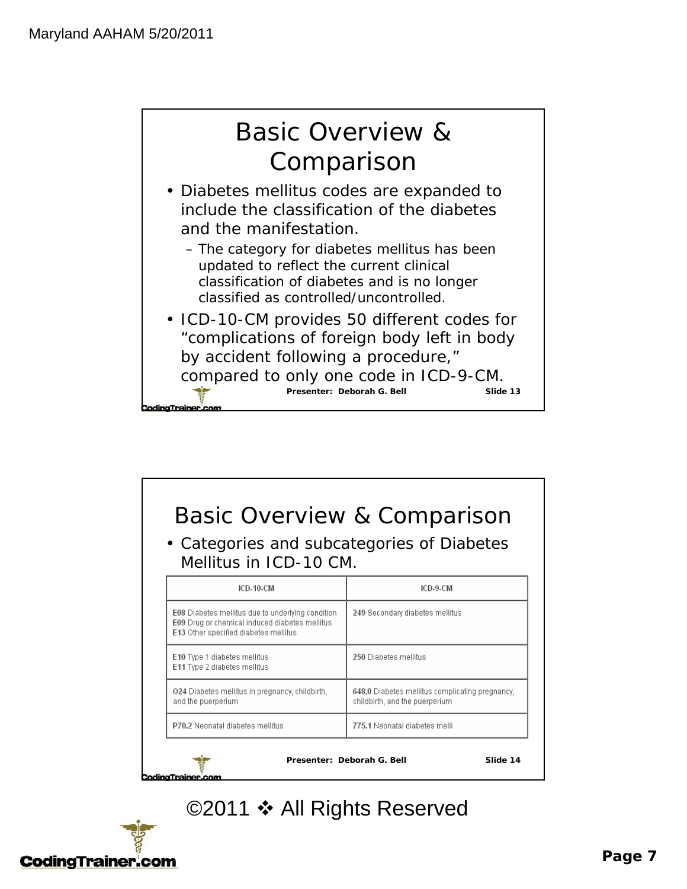ingTrainer.



- Diabetes mellitus codes are expanded to include the classification of the diabetes and the manifestation.
	- The category for diabetes mellitus has been updated to reflect the current clinical classification of diabetes and is no longer classified as controlled/uncontrolled.
- Presenter: Deborah G. Bell Slide 13 • ICD-10-CM provides 50 different codes for "complications of foreign body left in body by accident following a procedure," compared to only one code in ICD-9-CM.

| • Categories and subcategories of Diabetes<br>Mellitus in ICD-10 CM.                                                                         |                                                                                   |  |
|----------------------------------------------------------------------------------------------------------------------------------------------|-----------------------------------------------------------------------------------|--|
| ICD-10-CM                                                                                                                                    | ICD-9-CM                                                                          |  |
| E08 Diabetes mellitus due to underlying condition<br>E09 Drug or chemical induced diabetes mellitus<br>E13 Other specified diabetes mellitus | 249 Secondary diabetes mellitus                                                   |  |
| E10 Type 1 diabetes mellitus<br>E11 Type 2 diabetes mellitus                                                                                 | 250 Diabetes mellitus                                                             |  |
| 024 Diabetes mellitus in pregnancy, childbirth,<br>and the puerperium                                                                        | 648.0 Diabetes mellitus complicating pregnancy.<br>childbirth, and the puerperium |  |
| P70.2 Neonatal diabetes mellitus                                                                                                             | 775.1 Neonatal diabetes melli                                                     |  |

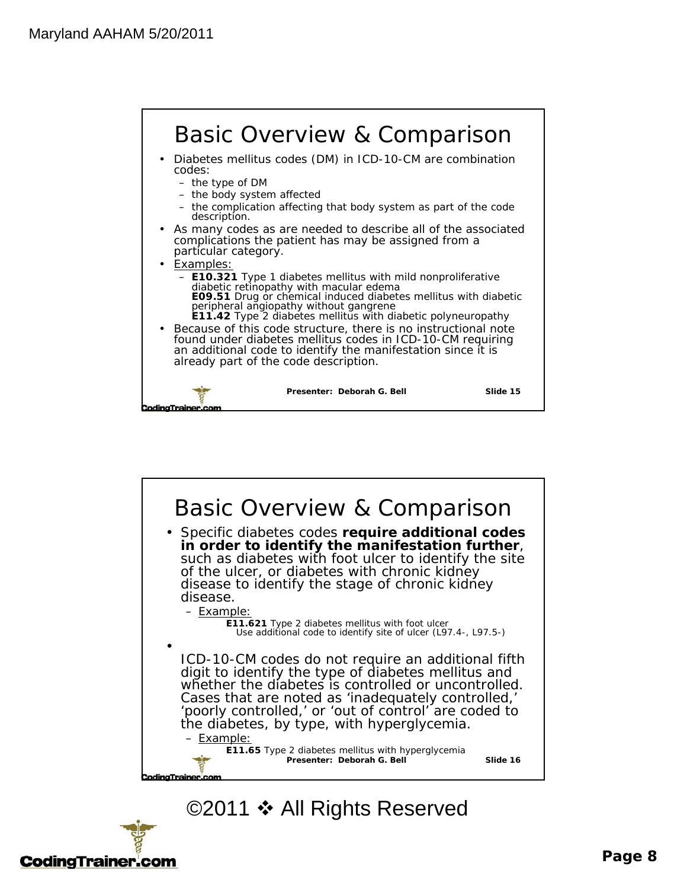





#### **Page 8**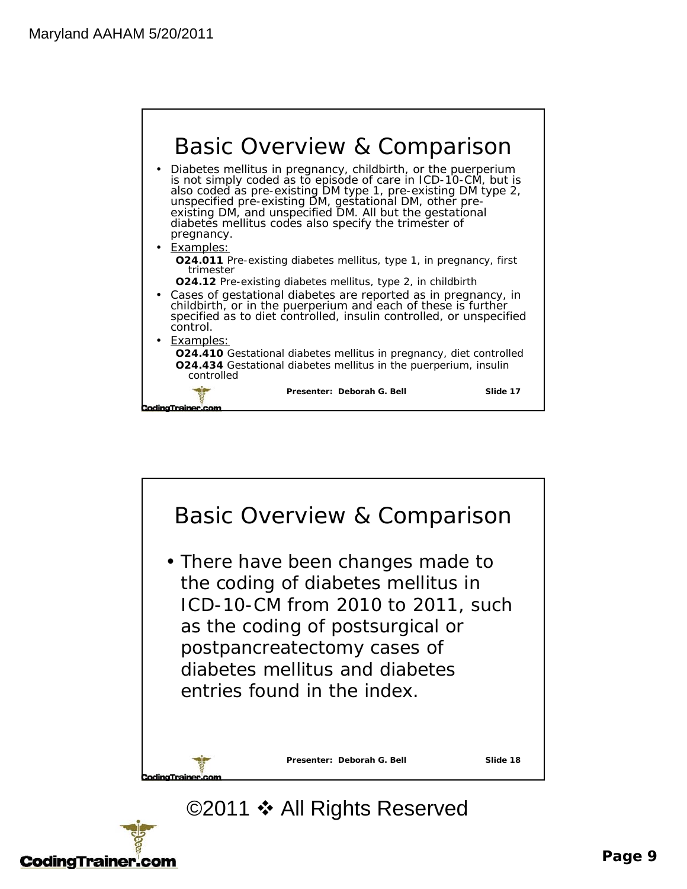



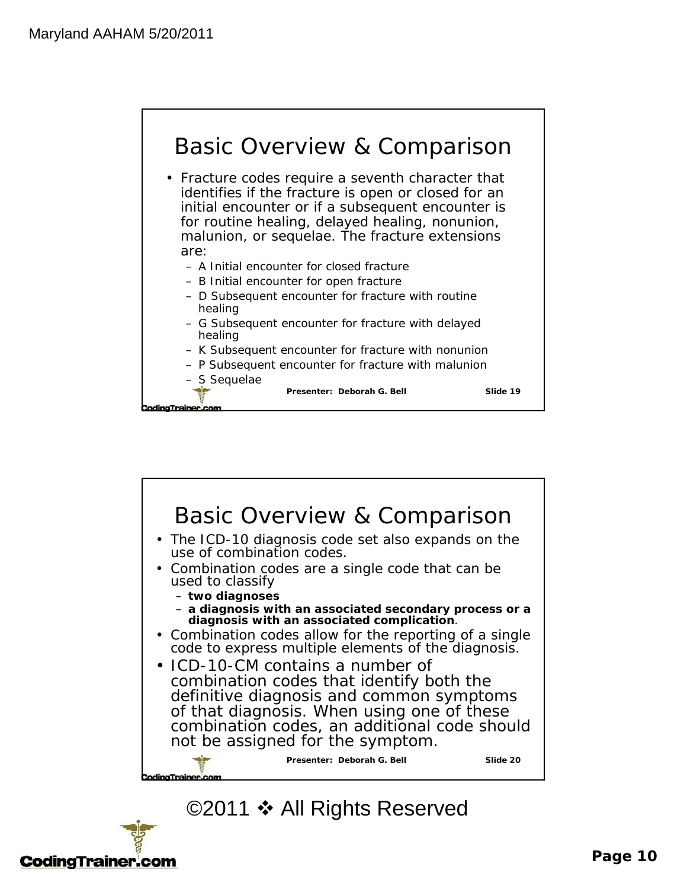



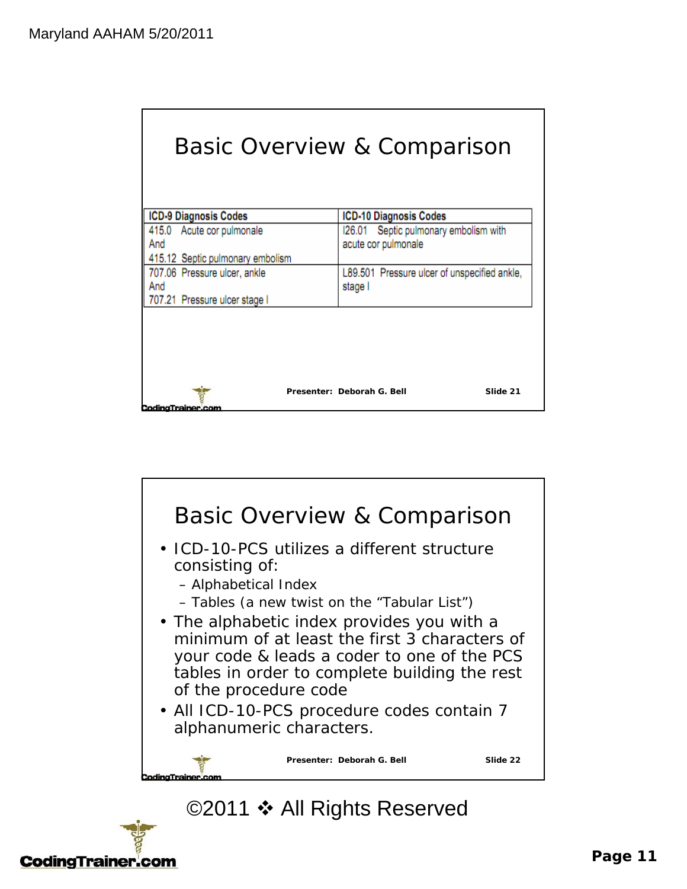| Basic Overview & Comparison                                          |                            |                                                              |                                              |
|----------------------------------------------------------------------|----------------------------|--------------------------------------------------------------|----------------------------------------------|
| ICD-9 Diagnosis Codes                                                |                            | ICD-10 Diagnosis Codes                                       |                                              |
| 415.0 Acute cor pulmonale<br>And<br>415.12 Septic pulmonary embolism |                            | 126.01 Septic pulmonary embolism with<br>acute cor pulmonale |                                              |
| 707.06 Pressure ulcer, ankle<br>And<br>707.21 Pressure ulcer stage I | stage I                    |                                                              | L89.501 Pressure ulcer of unspecified ankle, |
|                                                                      | Presenter: Deborah G. Bell |                                                              | Slide 21                                     |



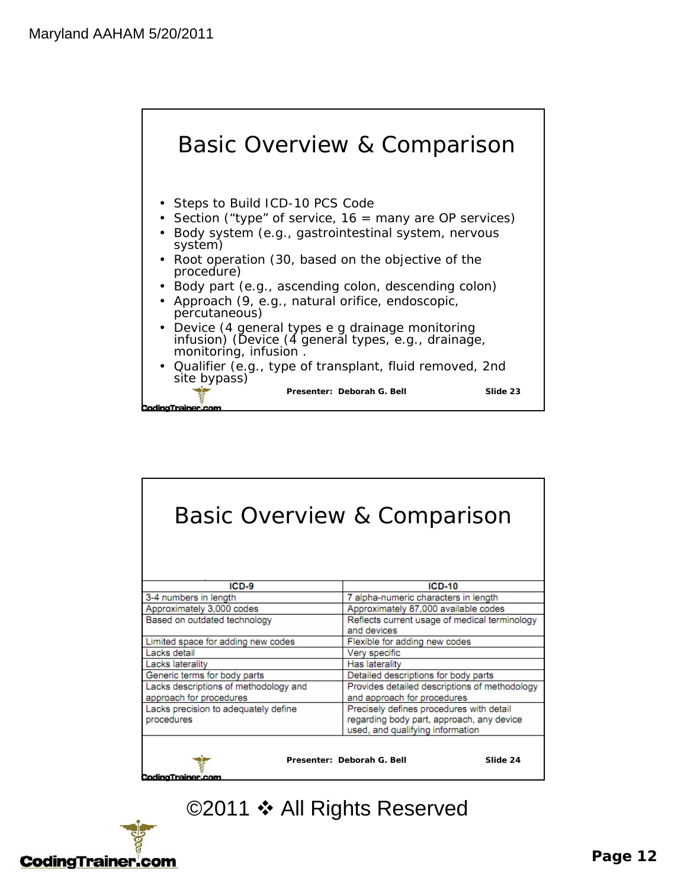

| <b>Basic Overview &amp; Comparison</b>                             |                                               |  |  |
|--------------------------------------------------------------------|-----------------------------------------------|--|--|
| $ICD-9$                                                            | $ICD-10$                                      |  |  |
| 3-4 numbers in length                                              | 7 alpha-numeric characters in length          |  |  |
| Approximately 3,000 codes                                          | Approximately 87,000 available codes          |  |  |
| Based on outdated technology                                       | Reflects current usage of medical terminology |  |  |
|                                                                    | and devices                                   |  |  |
| Limited space for adding new codes                                 | Flexible for adding new codes                 |  |  |
| Lacks detail                                                       | Very specific                                 |  |  |
| Lacks laterality                                                   | Has laterality                                |  |  |
| Generic terms for body parts                                       | Detailed descriptions for body parts          |  |  |
| Lacks descriptions of methodology and                              | Provides detailed descriptions of methodology |  |  |
| approach for procedures                                            | and approach for procedures                   |  |  |
| Lacks precision to adequately define                               | Precisely defines procedures with detail      |  |  |
| procedures                                                         | regarding body part, approach, any device     |  |  |
|                                                                    | used, and qualifying information              |  |  |
| Presenter: Deborah G. Bell<br>Slide 24<br><b>CodingTrainer.com</b> |                                               |  |  |

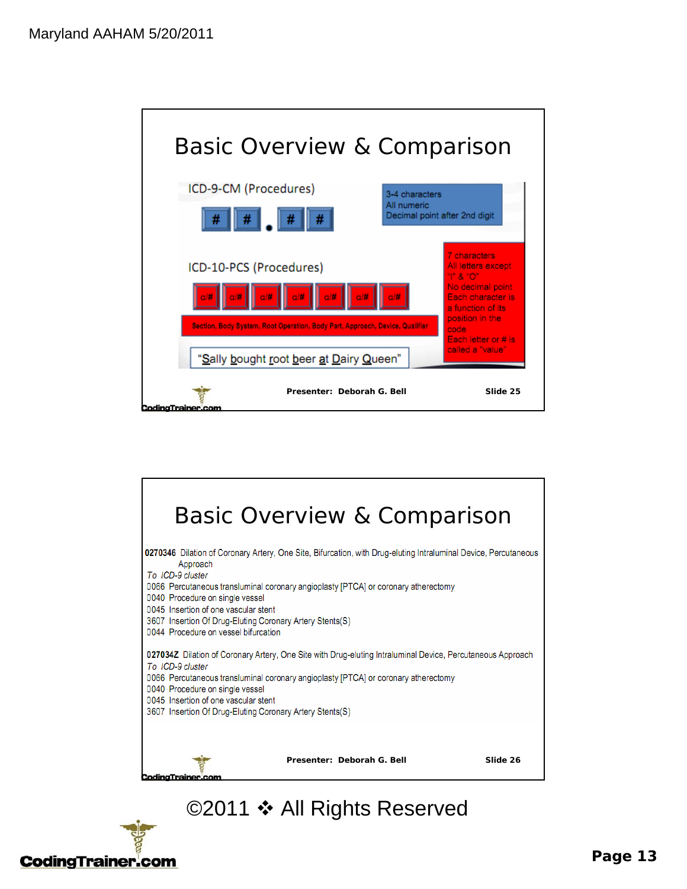



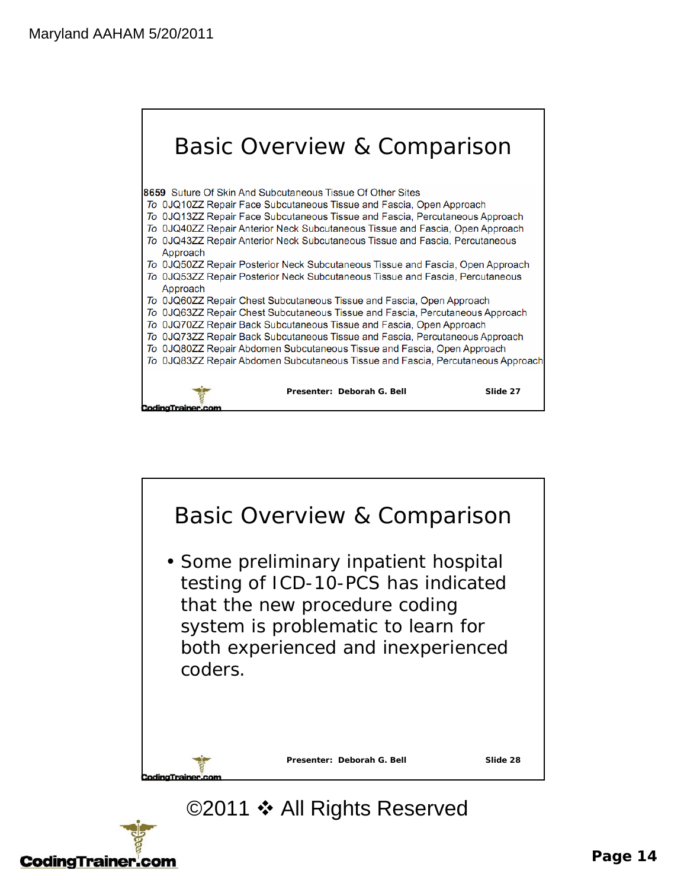



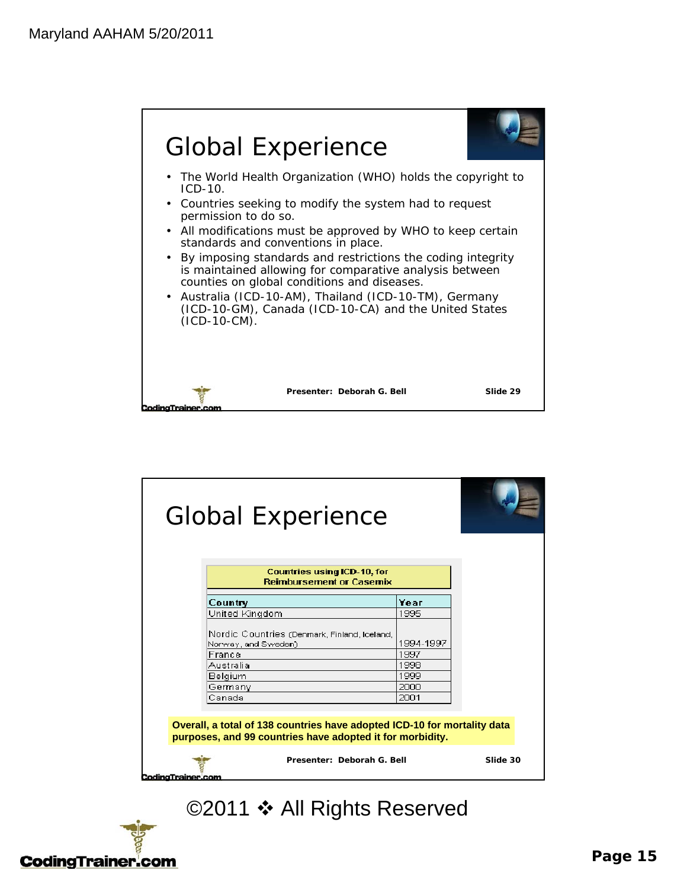

| <b>Global Experience</b>                                                                                                              |           |          |
|---------------------------------------------------------------------------------------------------------------------------------------|-----------|----------|
| <b>Countries using ICD-10, for</b><br><b>Reimbursement or Casemix</b>                                                                 |           |          |
| Country                                                                                                                               | Үеаг      |          |
| United Kingdom                                                                                                                        | 1995      |          |
| Nordic Countries (Denmark, Finland, Iceland,<br>Norway, and Sweden)                                                                   | 1994-1997 |          |
| France                                                                                                                                | 1997      |          |
| Australia                                                                                                                             | 1998      |          |
| Belgium                                                                                                                               | 1999      |          |
| Germany                                                                                                                               | 2000      |          |
| Canada                                                                                                                                | 2001      |          |
| Overall, a total of 138 countries have adopted ICD-10 for mortality data<br>purposes, and 99 countries have adopted it for morbidity. |           |          |
| Presenter: Deborah G. Bell                                                                                                            |           | Slide 30 |

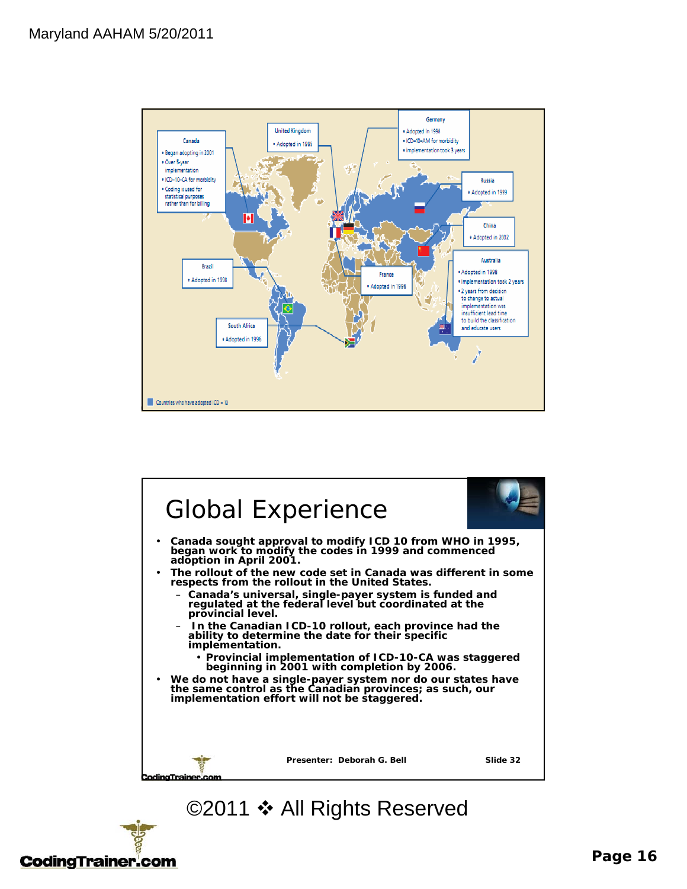



# **CodingTrainer.com**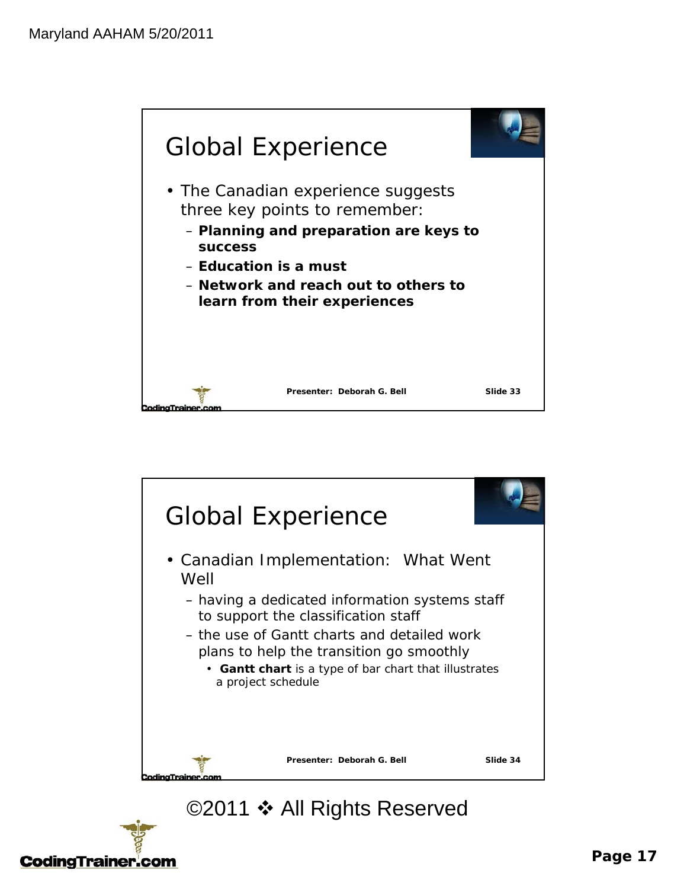



# **CodingTrainer.com**

#### **Page 17**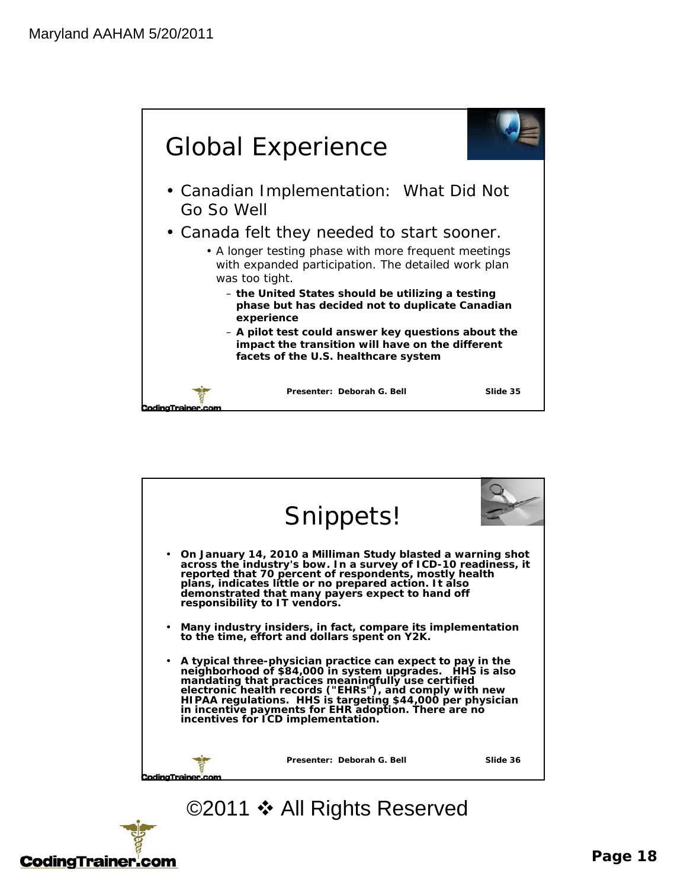



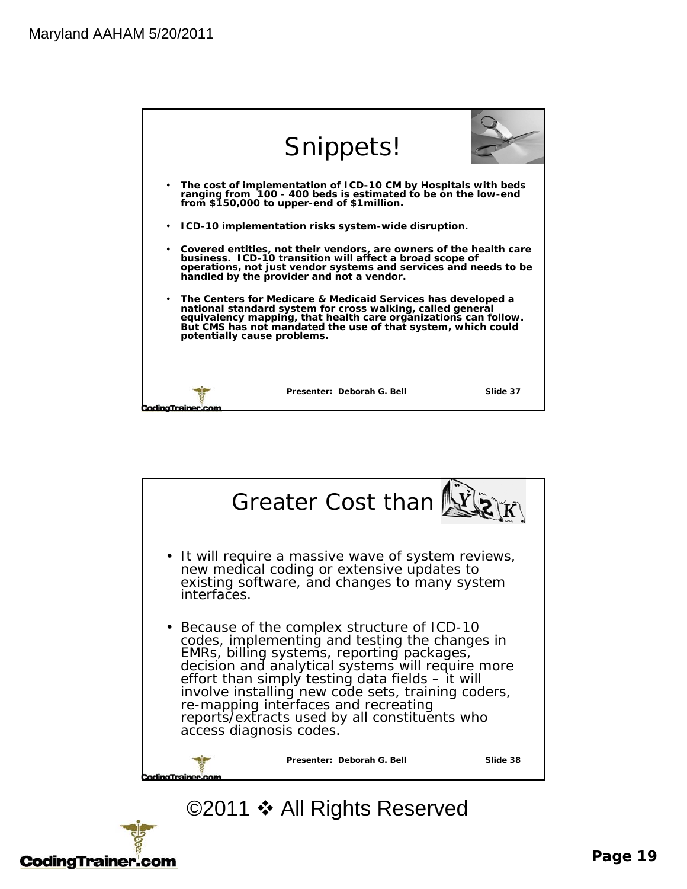|                                  | Snippets!                                                                                                                                                                                                                                                     |          |
|----------------------------------|---------------------------------------------------------------------------------------------------------------------------------------------------------------------------------------------------------------------------------------------------------------|----------|
| $\bullet$                        | The cost of implementation of ICD-10 CM by Hospitals with beds<br>ranging from 100 - 400 beds is estimated to be on the low-end<br>from \$150,000 to upper-end of \$1million.                                                                                 |          |
| ٠                                | ICD-10 implementation risks system-wide disruption.                                                                                                                                                                                                           |          |
| ٠                                | Covered entities, not their vendors, are owners of the health care<br>business. ICD-10 transition will affect a broad scope of<br>operations, not just vendor systems and services and needs to be<br>handled by the provider and not a vendor.               |          |
| ٠<br>potentially cause problems. | The Centers for Medicare & Medicaid Services has developed a<br>national standard system for cross walking, called general<br>equivalency mapping, that health care organizations can follow.<br>But CMS has not mandated the use of that system, which could |          |
| codina Trainer.                  | Presenter: Deborah G. Bell                                                                                                                                                                                                                                    | Slide 37 |



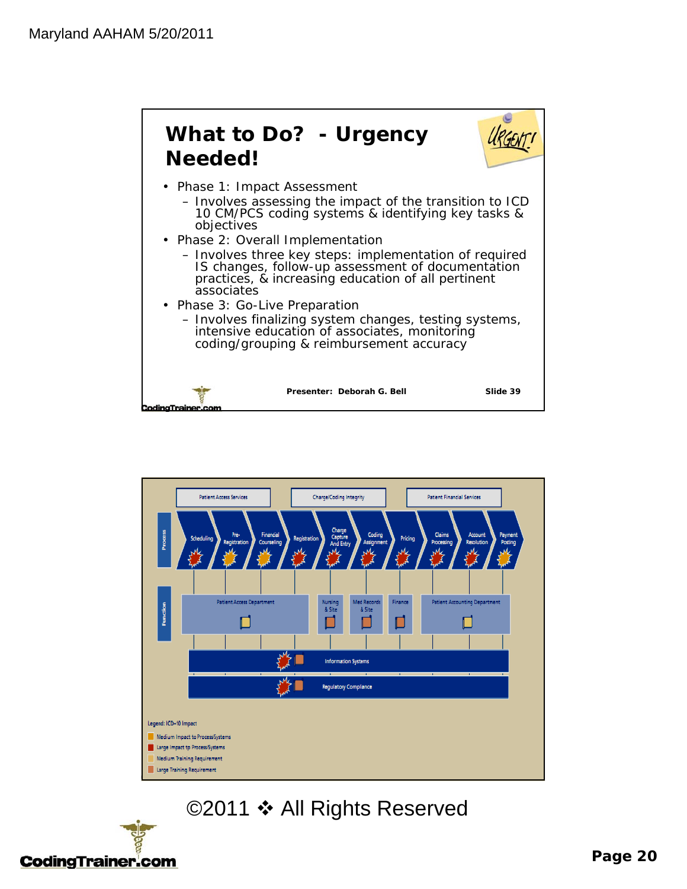



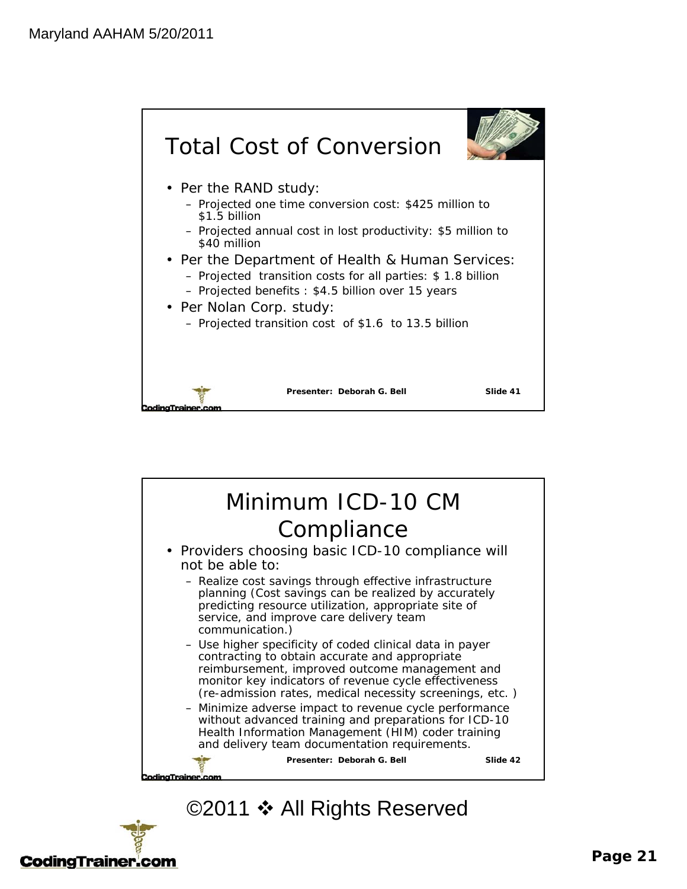



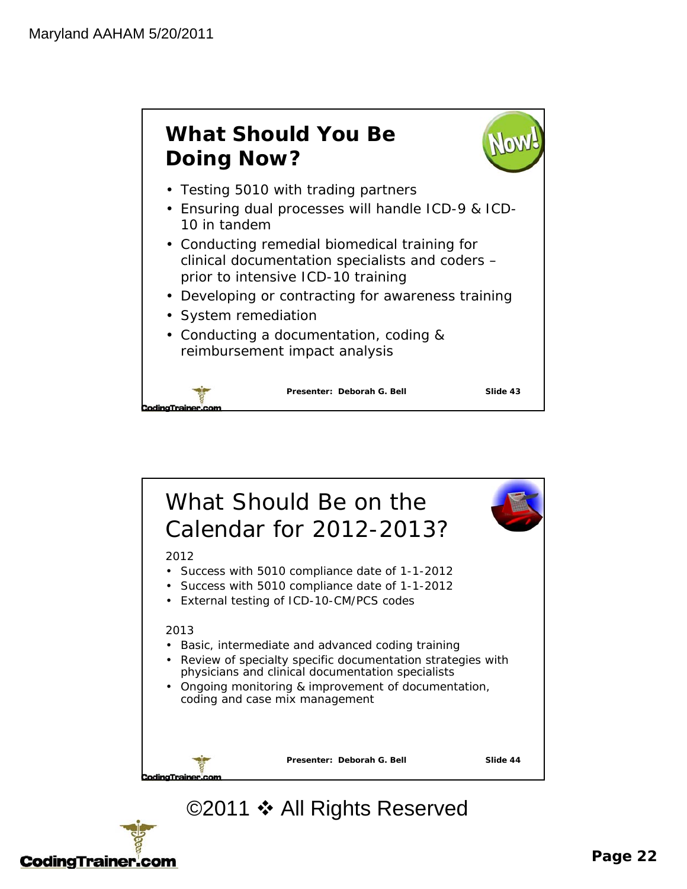



# **CodingTrainer.com**

#### **Page 22**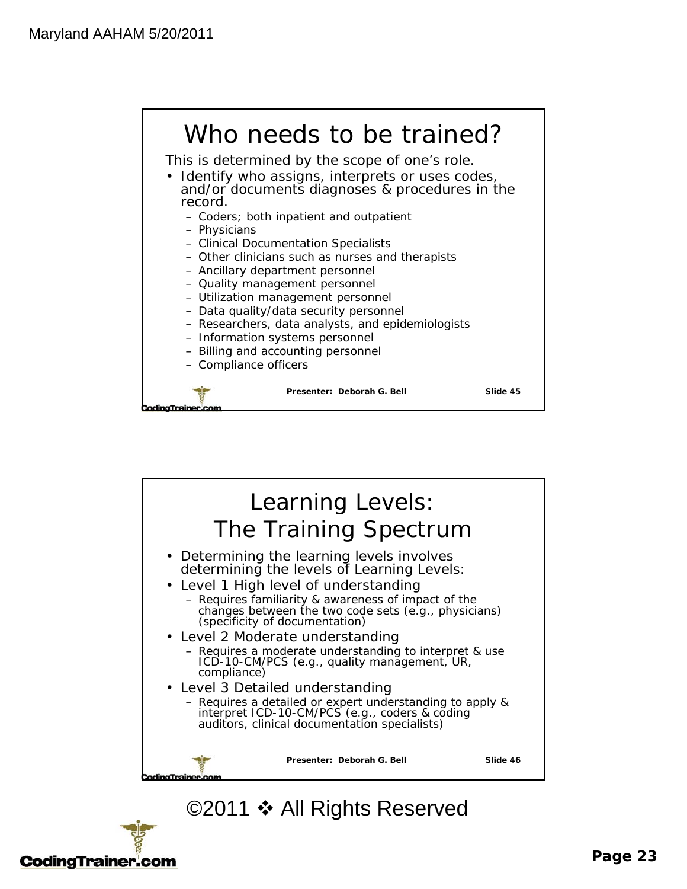



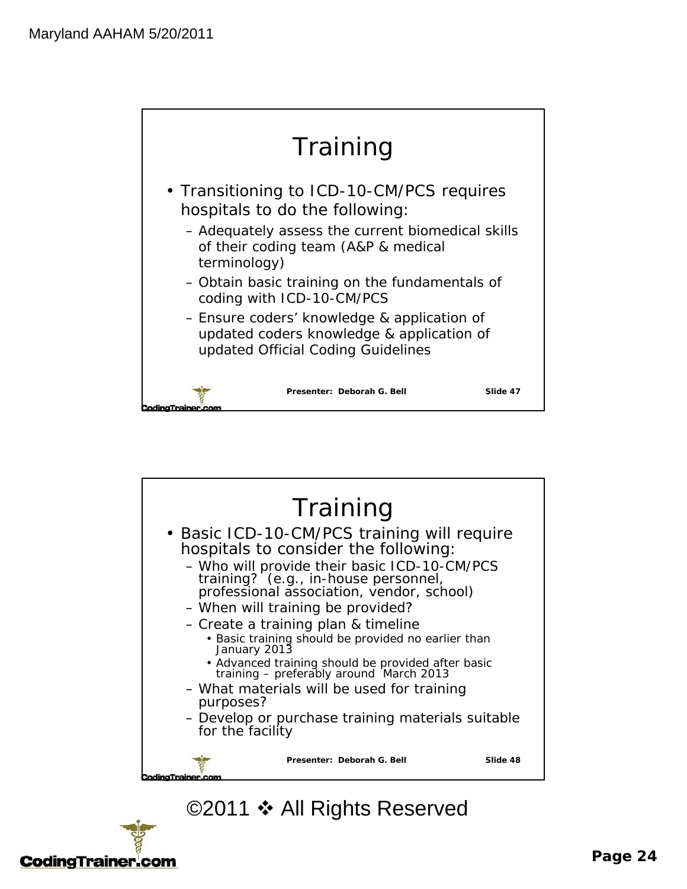



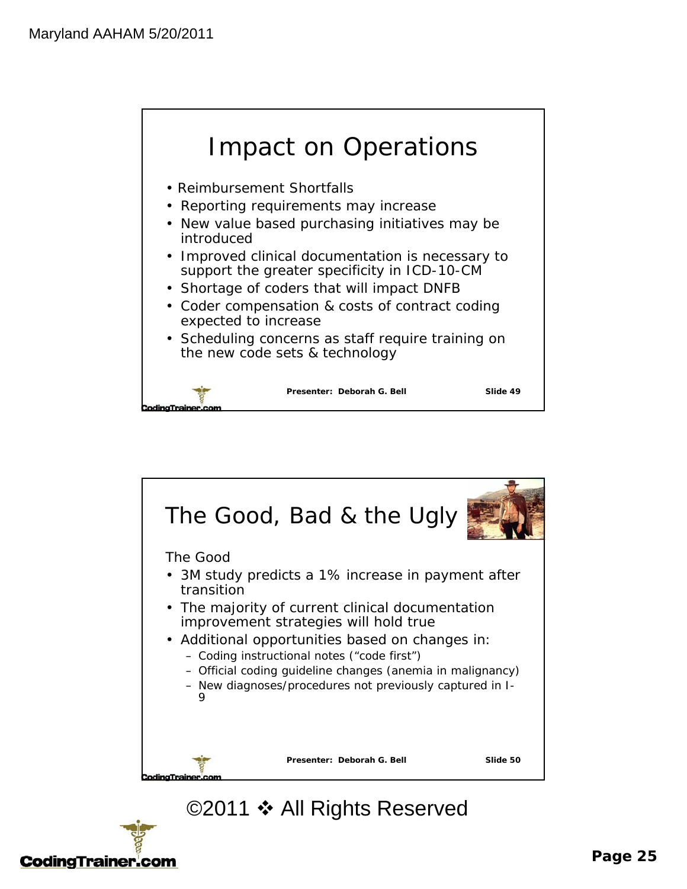



# **CodingTrainer.com**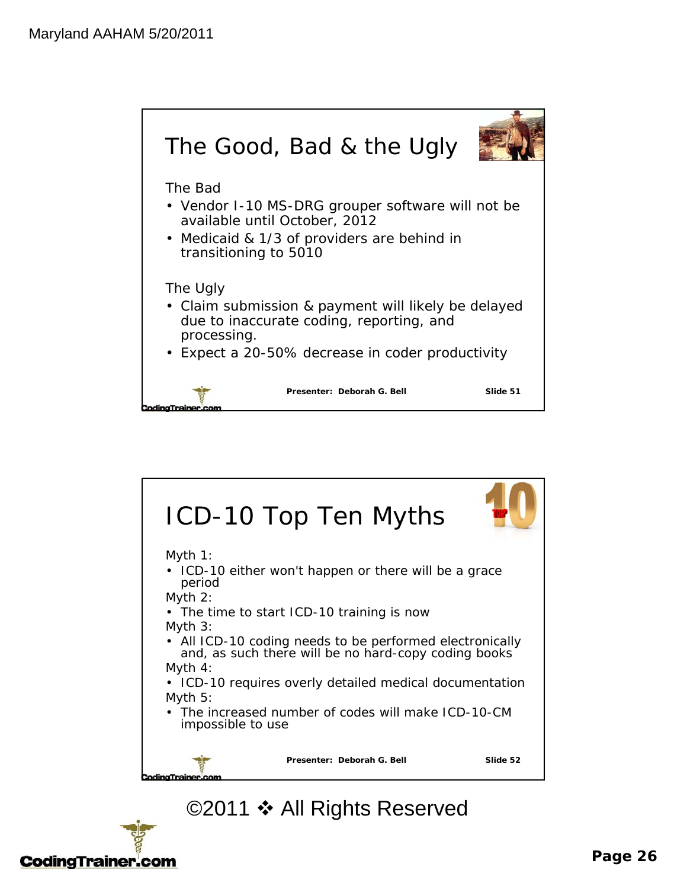



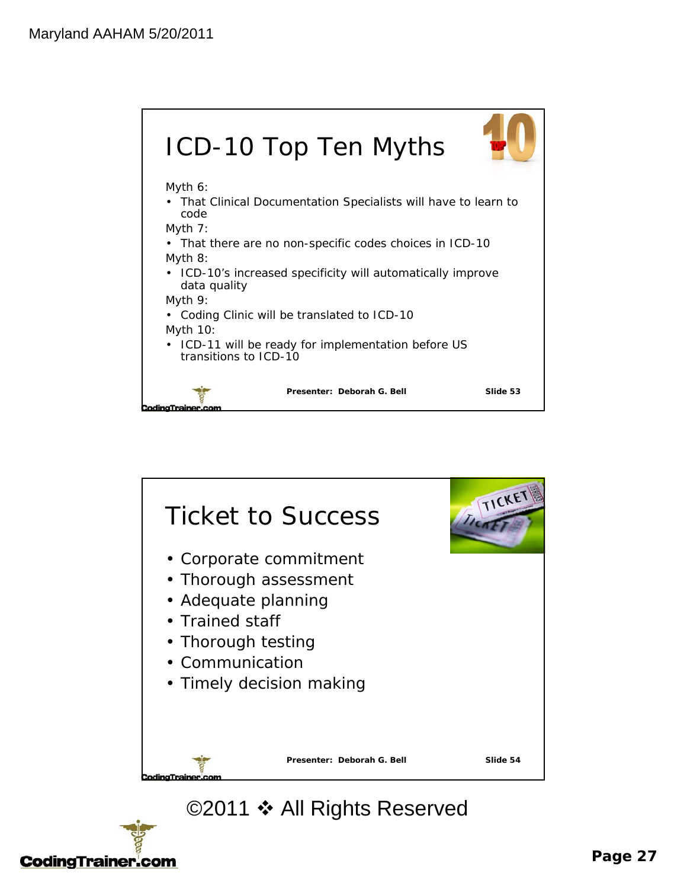